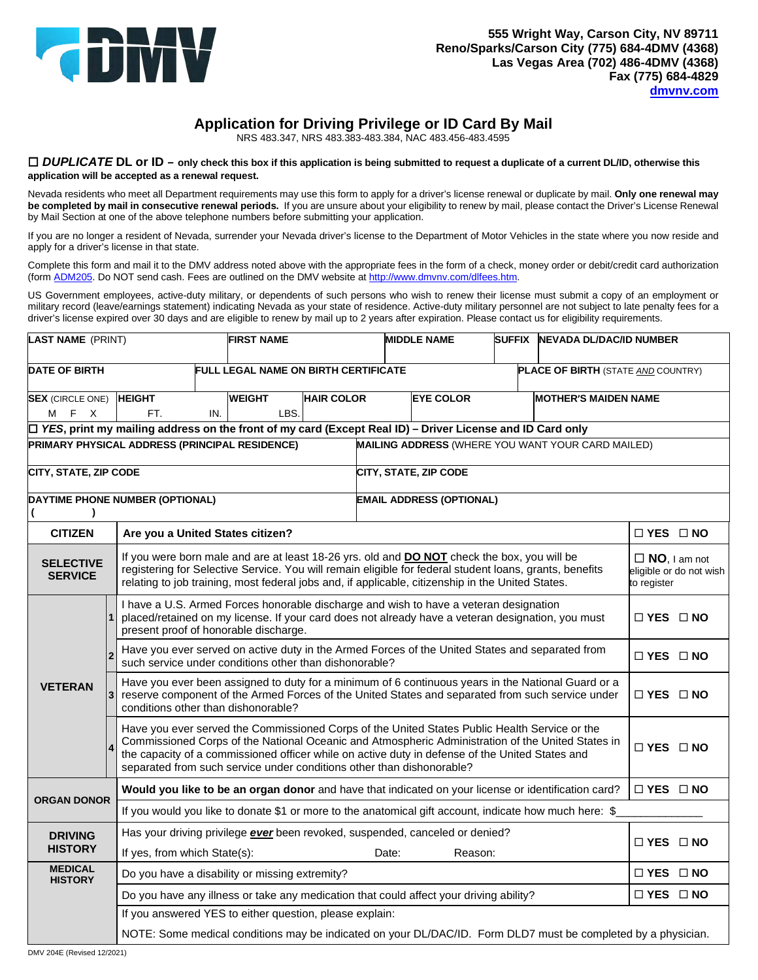

# **Application for Driving Privilege or ID Card By Mail**

NRS 483.347, NRS 483.383-483.384, NAC 483.456-483.4595

#### *DUPLICATE* **DL or ID – only check this box if this application is being submitted to request a duplicate of a current DL/ID, otherwise this application will be accepted as a renewal request.**

 Nevada residents who meet all Department requirements may use this form to apply for a driver's license renewal or duplicate by mail. **Only one renewal may be completed by mail in consecutive renewal periods.** If you are unsure about your eligibility to renew by mail, please contact the Driver's License Renewal by Mail Section at one of the above telephone numbers before submitting your application.

 If you are no longer a resident of Nevada, surrender your Nevada driver's license to the Department of Motor Vehicles in the state where you now reside and apply for a driver's license in that state.

 Complete this form and mail it to the DMV address noted above with the appropriate fees in the form of a check, money order or debit/credit card authorization (form <u>ADM205</u>. Do NOT send cash. Fees are outlined on the DMV website at <u>http://www.dmvnv.com/dlfees.htm</u>.

 US Government employees, active-duty military, or dependents of such persons who wish to renew their license must submit a copy of an employment or military record (leave/earnings statement) indicating Nevada as your state of residence. Active-duty military personnel are not subject to late penalty fees for a driver's license expired over 30 days and are eligible to renew by mail up to 2 years after expiration. Please contact us for eligibility requirements.

| <b>LAST NAME</b> (PRINT)                                                                                                                                                                                                                                                                                                                                 |                                                                                                                   | <b>FIRST NAME</b>                                                                                                                                                                                                                                                                                                                                                                                      |                                             | <b>MIDDLE NAME</b>                         |                                    | SUFFIX NEVADA DL/DAC/ID NUMBER            |                                 |                      |                             |                      |  |
|----------------------------------------------------------------------------------------------------------------------------------------------------------------------------------------------------------------------------------------------------------------------------------------------------------------------------------------------------------|-------------------------------------------------------------------------------------------------------------------|--------------------------------------------------------------------------------------------------------------------------------------------------------------------------------------------------------------------------------------------------------------------------------------------------------------------------------------------------------------------------------------------------------|---------------------------------------------|--------------------------------------------|------------------------------------|-------------------------------------------|---------------------------------|----------------------|-----------------------------|----------------------|--|
| <b>DATE OF BIRTH</b>                                                                                                                                                                                                                                                                                                                                     |                                                                                                                   |                                                                                                                                                                                                                                                                                                                                                                                                        | <b>FULL LEGAL NAME ON BIRTH CERTIFICATE</b> |                                            |                                    | <b>PLACE OF BIRTH (STATE AND COUNTRY)</b> |                                 |                      |                             |                      |  |
| <b>SEX</b> (CIRCLE ONE)<br>M F X                                                                                                                                                                                                                                                                                                                         |                                                                                                                   | <b>HEIGHT</b><br>IN.<br>FT.                                                                                                                                                                                                                                                                                                                                                                            |                                             | <b>WEIGHT</b><br><b>HAIR COLOR</b><br>LBS. |                                    |                                           | <b>EYE COLOR</b>                |                      | <b>MOTHER'S MAIDEN NAME</b> |                      |  |
| $\Box$ YES, print my mailing address on the front of my card (Except Real ID) – Driver License and ID Card only                                                                                                                                                                                                                                          |                                                                                                                   |                                                                                                                                                                                                                                                                                                                                                                                                        |                                             |                                            |                                    |                                           |                                 |                      |                             |                      |  |
|                                                                                                                                                                                                                                                                                                                                                          | <b>PRIMARY PHYSICAL ADDRESS (PRINCIPAL RESIDENCE)</b><br><b>MAILING ADDRESS (WHERE YOU WANT YOUR CARD MAILED)</b> |                                                                                                                                                                                                                                                                                                                                                                                                        |                                             |                                            |                                    |                                           |                                 |                      |                             |                      |  |
| CITY, STATE, ZIP CODE                                                                                                                                                                                                                                                                                                                                    |                                                                                                                   |                                                                                                                                                                                                                                                                                                                                                                                                        |                                             |                                            |                                    | CITY, STATE, ZIP CODE                     |                                 |                      |                             |                      |  |
| DAYTIME PHONE NUMBER (OPTIONAL)<br>$\lambda$                                                                                                                                                                                                                                                                                                             |                                                                                                                   |                                                                                                                                                                                                                                                                                                                                                                                                        |                                             |                                            |                                    |                                           | <b>EMAIL ADDRESS (OPTIONAL)</b> |                      |                             |                      |  |
| <b>CITIZEN</b>                                                                                                                                                                                                                                                                                                                                           |                                                                                                                   | Are you a United States citizen?                                                                                                                                                                                                                                                                                                                                                                       |                                             |                                            |                                    |                                           |                                 |                      |                             | $\Box$ YES $\Box$ NO |  |
| If you were born male and are at least 18-26 yrs. old and <b>DO NOT</b> check the box, you will be<br><b>SELECTIVE</b><br>registering for Selective Service. You will remain eligible for federal student loans, grants, benefits<br><b>SERVICE</b><br>relating to job training, most federal jobs and, if applicable, citizenship in the United States. |                                                                                                                   |                                                                                                                                                                                                                                                                                                                                                                                                        |                                             |                                            | $\Box$ NO, I am not<br>to register | eligible or do not wish                   |                                 |                      |                             |                      |  |
|                                                                                                                                                                                                                                                                                                                                                          |                                                                                                                   | I have a U.S. Armed Forces honorable discharge and wish to have a veteran designation<br>placed/retained on my license. If your card does not already have a veteran designation, you must<br>present proof of honorable discharge.                                                                                                                                                                    |                                             |                                            |                                    |                                           |                                 | $\Box$ YES $\Box$ NO |                             |                      |  |
| <b>VETERAN</b>                                                                                                                                                                                                                                                                                                                                           |                                                                                                                   | Have you ever served on active duty in the Armed Forces of the United States and separated from<br>such service under conditions other than dishonorable?                                                                                                                                                                                                                                              |                                             |                                            |                                    |                                           | $\Box$ YES $\Box$ NO            |                      |                             |                      |  |
|                                                                                                                                                                                                                                                                                                                                                          | 3                                                                                                                 | Have you ever been assigned to duty for a minimum of 6 continuous years in the National Guard or a<br>reserve component of the Armed Forces of the United States and separated from such service under<br>conditions other than dishonorable?                                                                                                                                                          |                                             |                                            |                                    | $\Box$ YES $\Box$ NO                      |                                 |                      |                             |                      |  |
|                                                                                                                                                                                                                                                                                                                                                          |                                                                                                                   | Have you ever served the Commissioned Corps of the United States Public Health Service or the<br>Commissioned Corps of the National Oceanic and Atmospheric Administration of the United States in<br>$\Box$ YES $\Box$ NO<br>the capacity of a commissioned officer while on active duty in defense of the United States and<br>separated from such service under conditions other than dishonorable? |                                             |                                            |                                    |                                           |                                 |                      |                             |                      |  |
| <b>ORGAN DONOR</b>                                                                                                                                                                                                                                                                                                                                       |                                                                                                                   | Would you like to be an organ donor and have that indicated on your license or identification card?                                                                                                                                                                                                                                                                                                    |                                             |                                            |                                    |                                           | $\Box$ YES $\Box$ NO            |                      |                             |                      |  |
|                                                                                                                                                                                                                                                                                                                                                          |                                                                                                                   | If you would you like to donate \$1 or more to the anatomical gift account, indicate how much here: \$                                                                                                                                                                                                                                                                                                 |                                             |                                            |                                    |                                           |                                 |                      |                             |                      |  |
| <b>DRIVING</b><br><b>HISTORY</b>                                                                                                                                                                                                                                                                                                                         |                                                                                                                   | Has your driving privilege <b>ever</b> been revoked, suspended, canceled or denied?                                                                                                                                                                                                                                                                                                                    |                                             |                                            |                                    |                                           |                                 | $\Box$ YES $\Box$ NO |                             |                      |  |
|                                                                                                                                                                                                                                                                                                                                                          |                                                                                                                   | If yes, from which State(s):<br>Date:<br>Reason:                                                                                                                                                                                                                                                                                                                                                       |                                             |                                            |                                    |                                           |                                 |                      |                             |                      |  |
| <b>MEDICAL</b><br><b>HISTORY</b>                                                                                                                                                                                                                                                                                                                         |                                                                                                                   | Do you have a disability or missing extremity?                                                                                                                                                                                                                                                                                                                                                         |                                             |                                            |                                    |                                           |                                 |                      |                             | $\Box$ YES $\Box$ NO |  |
|                                                                                                                                                                                                                                                                                                                                                          |                                                                                                                   | Do you have any illness or take any medication that could affect your driving ability?                                                                                                                                                                                                                                                                                                                 |                                             |                                            |                                    |                                           |                                 |                      | $\Box$ YES $\Box$ NO        |                      |  |
|                                                                                                                                                                                                                                                                                                                                                          |                                                                                                                   | If you answered YES to either question, please explain:                                                                                                                                                                                                                                                                                                                                                |                                             |                                            |                                    |                                           |                                 |                      |                             |                      |  |
|                                                                                                                                                                                                                                                                                                                                                          |                                                                                                                   | NOTE: Some medical conditions may be indicated on your DL/DAC/ID. Form DLD7 must be completed by a physician.                                                                                                                                                                                                                                                                                          |                                             |                                            |                                    |                                           |                                 |                      |                             |                      |  |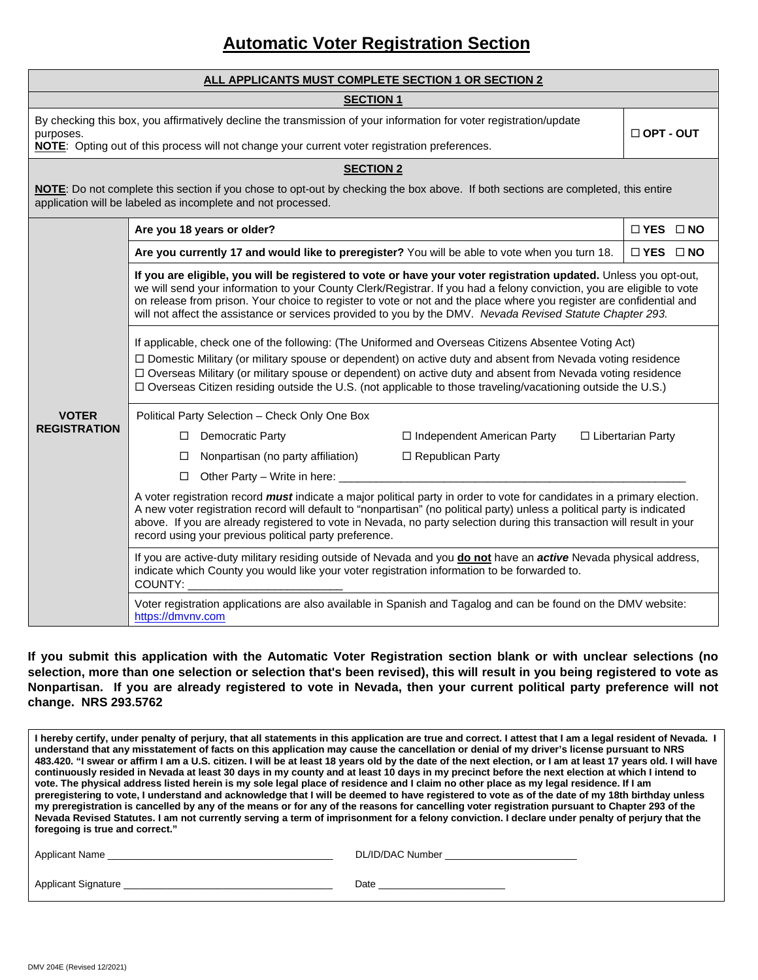# **Automatic Voter Registration Section**

| ALL APPLICANTS MUST COMPLETE SECTION 1 OR SECTION 2                                                                                                                                                                              |                                                                                                                                                                                                                                                                                                                                                                                                                                                                                  |                      |  |  |  |  |  |
|----------------------------------------------------------------------------------------------------------------------------------------------------------------------------------------------------------------------------------|----------------------------------------------------------------------------------------------------------------------------------------------------------------------------------------------------------------------------------------------------------------------------------------------------------------------------------------------------------------------------------------------------------------------------------------------------------------------------------|----------------------|--|--|--|--|--|
| <b>SECTION 1</b>                                                                                                                                                                                                                 |                                                                                                                                                                                                                                                                                                                                                                                                                                                                                  |                      |  |  |  |  |  |
| By checking this box, you affirmatively decline the transmission of your information for voter registration/update<br>purposes.<br>NOTE: Opting out of this process will not change your current voter registration preferences. |                                                                                                                                                                                                                                                                                                                                                                                                                                                                                  |                      |  |  |  |  |  |
|                                                                                                                                                                                                                                  | <b>SECTION 2</b>                                                                                                                                                                                                                                                                                                                                                                                                                                                                 |                      |  |  |  |  |  |
| NOTE: Do not complete this section if you chose to opt-out by checking the box above. If both sections are completed, this entire<br>application will be labeled as incomplete and not processed.                                |                                                                                                                                                                                                                                                                                                                                                                                                                                                                                  |                      |  |  |  |  |  |
|                                                                                                                                                                                                                                  | Are you 18 years or older?                                                                                                                                                                                                                                                                                                                                                                                                                                                       | $\Box$ YES $\Box$ NO |  |  |  |  |  |
|                                                                                                                                                                                                                                  | Are you currently 17 and would like to preregister? You will be able to vote when you turn 18.                                                                                                                                                                                                                                                                                                                                                                                   | $\Box$ YES $\Box$ NO |  |  |  |  |  |
|                                                                                                                                                                                                                                  | If you are eligible, you will be registered to vote or have your voter registration updated. Unless you opt-out,<br>we will send your information to your County Clerk/Registrar. If you had a felony conviction, you are eligible to vote<br>on release from prison. Your choice to register to vote or not and the place where you register are confidential and<br>will not affect the assistance or services provided to you by the DMV. Nevada Revised Statute Chapter 293. |                      |  |  |  |  |  |
|                                                                                                                                                                                                                                  | If applicable, check one of the following: (The Uniformed and Overseas Citizens Absentee Voting Act)<br>□ Domestic Military (or military spouse or dependent) on active duty and absent from Nevada voting residence<br>□ Overseas Military (or military spouse or dependent) on active duty and absent from Nevada voting residence<br>$\Box$ Overseas Citizen residing outside the U.S. (not applicable to those traveling/vacationing outside the U.S.)                       |                      |  |  |  |  |  |
| <b>VOTER</b><br><b>REGISTRATION</b>                                                                                                                                                                                              | Political Party Selection - Check Only One Box                                                                                                                                                                                                                                                                                                                                                                                                                                   |                      |  |  |  |  |  |
|                                                                                                                                                                                                                                  | □ Democratic Party<br>□ Independent American Party                                                                                                                                                                                                                                                                                                                                                                                                                               | □ Libertarian Party  |  |  |  |  |  |
|                                                                                                                                                                                                                                  | $\Box$ Republican Party<br>Nonpartisan (no party affiliation)<br>п                                                                                                                                                                                                                                                                                                                                                                                                               |                      |  |  |  |  |  |
|                                                                                                                                                                                                                                  | Other Party - Write in here: _____                                                                                                                                                                                                                                                                                                                                                                                                                                               |                      |  |  |  |  |  |
|                                                                                                                                                                                                                                  | A voter registration record <i>must</i> indicate a major political party in order to vote for candidates in a primary election.<br>A new voter registration record will default to "nonpartisan" (no political party) unless a political party is indicated<br>above. If you are already registered to vote in Nevada, no party selection during this transaction will result in your<br>record using your previous political party preference.                                  |                      |  |  |  |  |  |
|                                                                                                                                                                                                                                  | If you are active-duty military residing outside of Nevada and you do not have an active Nevada physical address,<br>indicate which County you would like your voter registration information to be forwarded to.<br>COUNTY:                                                                                                                                                                                                                                                     |                      |  |  |  |  |  |
|                                                                                                                                                                                                                                  | Voter registration applications are also available in Spanish and Tagalog and can be found on the DMV website:<br>https://dmvnv.com                                                                                                                                                                                                                                                                                                                                              |                      |  |  |  |  |  |

**If you submit this application with the Automatic Voter Registration section blank or with unclear selections (no selection, more than one selection or selection that's been revised), this will result in you being registered to vote as Nonpartisan. If you are already registered to vote in Nevada, then your current political party preference will not change. NRS 293.5762** 

 **I hereby certify, under penalty of perjury, that all statements in this application are true and correct. I attest that I am a legal resident of Nevada. I 483.420. "I swear or affirm I am a U.S. citizen. I will be at least 18 years old by the date of the next election, or I am at least 17 years old. I will have vote. The physical address listed herein is my sole legal place of residence and I claim no other place as my legal residence. If I am preregistering to vote, I understand and acknowledge that I will be deemed to have registered to vote as of the date of my 18th birthday unless my preregistration is cancelled by any of the means or for any of the reasons for cancelling voter registration pursuant to Chapter 293 of the understand that any misstatement of facts on this application may cause the cancellation or denial of my driver's license pursuant to NRS continuously resided in Nevada at least 30 days in my county and at least 10 days in my precinct before the next election at which I intend to Nevada Revised Statutes. I am not currently serving a term of imprisonment for a felony conviction. I declare under penalty of perjury that the foregoing is true and correct."** 

| <b>Applicant Name</b> | DL/ID/DAC Number |
|-----------------------|------------------|
|                       |                  |
| Applicant Signature   | Date             |